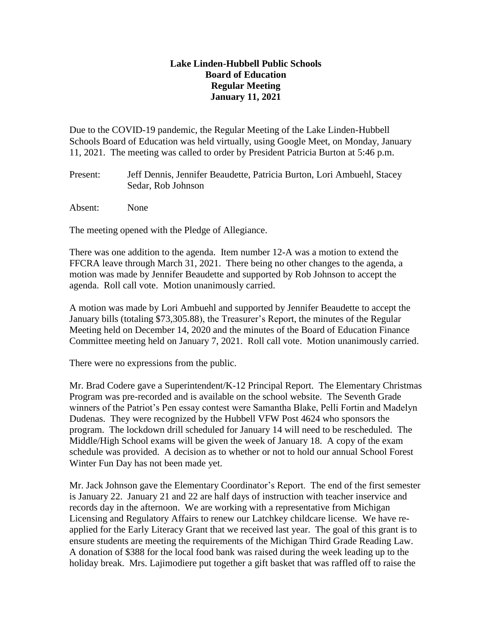## **Lake Linden-Hubbell Public Schools Board of Education Regular Meeting January 11, 2021**

Due to the COVID-19 pandemic, the Regular Meeting of the Lake Linden-Hubbell Schools Board of Education was held virtually, using Google Meet, on Monday, January 11, 2021. The meeting was called to order by President Patricia Burton at 5:46 p.m.

Present: Jeff Dennis, Jennifer Beaudette, Patricia Burton, Lori Ambuehl, Stacey Sedar, Rob Johnson

Absent: None

The meeting opened with the Pledge of Allegiance.

There was one addition to the agenda. Item number 12-A was a motion to extend the FFCRA leave through March 31, 2021. There being no other changes to the agenda, a motion was made by Jennifer Beaudette and supported by Rob Johnson to accept the agenda. Roll call vote. Motion unanimously carried.

A motion was made by Lori Ambuehl and supported by Jennifer Beaudette to accept the January bills (totaling \$73,305.88), the Treasurer's Report, the minutes of the Regular Meeting held on December 14, 2020 and the minutes of the Board of Education Finance Committee meeting held on January 7, 2021. Roll call vote. Motion unanimously carried.

There were no expressions from the public.

Mr. Brad Codere gave a Superintendent/K-12 Principal Report. The Elementary Christmas Program was pre-recorded and is available on the school website. The Seventh Grade winners of the Patriot's Pen essay contest were Samantha Blake, Pelli Fortin and Madelyn Dudenas. They were recognized by the Hubbell VFW Post 4624 who sponsors the program. The lockdown drill scheduled for January 14 will need to be rescheduled. The Middle/High School exams will be given the week of January 18. A copy of the exam schedule was provided. A decision as to whether or not to hold our annual School Forest Winter Fun Day has not been made yet.

Mr. Jack Johnson gave the Elementary Coordinator's Report. The end of the first semester is January 22. January 21 and 22 are half days of instruction with teacher inservice and records day in the afternoon. We are working with a representative from Michigan Licensing and Regulatory Affairs to renew our Latchkey childcare license. We have reapplied for the Early Literacy Grant that we received last year. The goal of this grant is to ensure students are meeting the requirements of the Michigan Third Grade Reading Law. A donation of \$388 for the local food bank was raised during the week leading up to the holiday break. Mrs. Lajimodiere put together a gift basket that was raffled off to raise the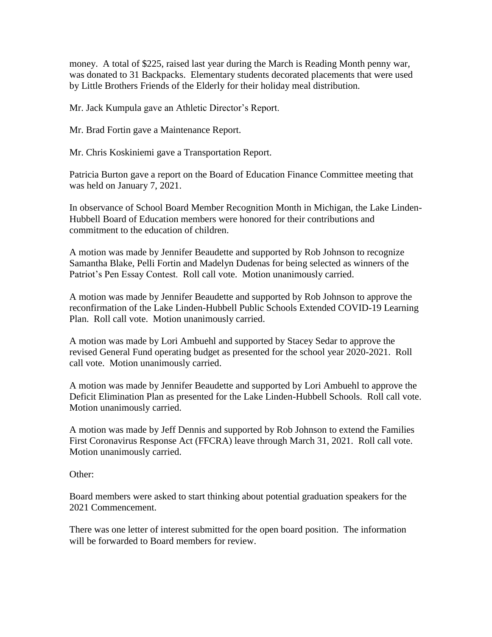money. A total of \$225, raised last year during the March is Reading Month penny war, was donated to 31 Backpacks. Elementary students decorated placements that were used by Little Brothers Friends of the Elderly for their holiday meal distribution.

Mr. Jack Kumpula gave an Athletic Director's Report.

Mr. Brad Fortin gave a Maintenance Report.

Mr. Chris Koskiniemi gave a Transportation Report.

Patricia Burton gave a report on the Board of Education Finance Committee meeting that was held on January 7, 2021.

In observance of School Board Member Recognition Month in Michigan, the Lake Linden-Hubbell Board of Education members were honored for their contributions and commitment to the education of children.

A motion was made by Jennifer Beaudette and supported by Rob Johnson to recognize Samantha Blake, Pelli Fortin and Madelyn Dudenas for being selected as winners of the Patriot's Pen Essay Contest. Roll call vote. Motion unanimously carried.

A motion was made by Jennifer Beaudette and supported by Rob Johnson to approve the reconfirmation of the Lake Linden-Hubbell Public Schools Extended COVID-19 Learning Plan. Roll call vote. Motion unanimously carried.

A motion was made by Lori Ambuehl and supported by Stacey Sedar to approve the revised General Fund operating budget as presented for the school year 2020-2021. Roll call vote. Motion unanimously carried.

A motion was made by Jennifer Beaudette and supported by Lori Ambuehl to approve the Deficit Elimination Plan as presented for the Lake Linden-Hubbell Schools. Roll call vote. Motion unanimously carried.

A motion was made by Jeff Dennis and supported by Rob Johnson to extend the Families First Coronavirus Response Act (FFCRA) leave through March 31, 2021. Roll call vote. Motion unanimously carried.

Other:

Board members were asked to start thinking about potential graduation speakers for the 2021 Commencement.

There was one letter of interest submitted for the open board position. The information will be forwarded to Board members for review.